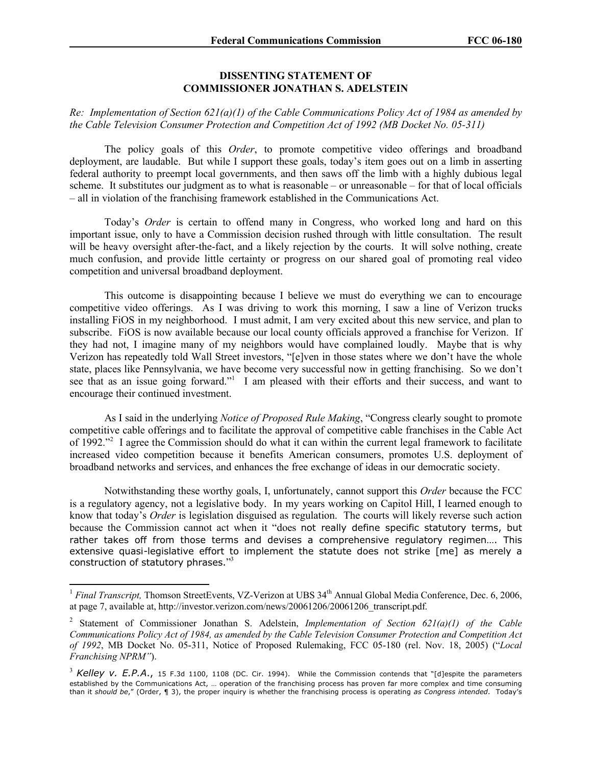## **DISSENTING STATEMENT OF COMMISSIONER JONATHAN S. ADELSTEIN**

## *Re: Implementation of Section 621(a)(1) of the Cable Communications Policy Act of 1984 as amended by the Cable Television Consumer Protection and Competition Act of 1992 (MB Docket No. 05-311)*

The policy goals of this *Order*, to promote competitive video offerings and broadband deployment, are laudable. But while I support these goals, today's item goes out on a limb in asserting federal authority to preempt local governments, and then saws off the limb with a highly dubious legal scheme. It substitutes our judgment as to what is reasonable – or unreasonable – for that of local officials – all in violation of the franchising framework established in the Communications Act.

Today's *Order* is certain to offend many in Congress, who worked long and hard on this important issue, only to have a Commission decision rushed through with little consultation. The result will be heavy oversight after-the-fact, and a likely rejection by the courts. It will solve nothing, create much confusion, and provide little certainty or progress on our shared goal of promoting real video competition and universal broadband deployment.

This outcome is disappointing because I believe we must do everything we can to encourage competitive video offerings. As I was driving to work this morning, I saw a line of Verizon trucks installing FiOS in my neighborhood. I must admit, I am very excited about this new service, and plan to subscribe. FiOS is now available because our local county officials approved a franchise for Verizon. If they had not, I imagine many of my neighbors would have complained loudly. Maybe that is why Verizon has repeatedly told Wall Street investors, "[e]ven in those states where we don't have the whole state, places like Pennsylvania, we have become very successful now in getting franchising. So we don't see that as an issue going forward."<sup>1</sup> I am pleased with their efforts and their success, and want to encourage their continued investment.

As I said in the underlying *Notice of Proposed Rule Making*, "Congress clearly sought to promote competitive cable offerings and to facilitate the approval of competitive cable franchises in the Cable Act of 1992."<sup>2</sup> I agree the Commission should do what it can within the current legal framework to facilitate increased video competition because it benefits American consumers, promotes U.S. deployment of broadband networks and services, and enhances the free exchange of ideas in our democratic society.

Notwithstanding these worthy goals, I, unfortunately, cannot support this *Order* because the FCC is a regulatory agency, not a legislative body. In my years working on Capitol Hill, I learned enough to know that today's *Order* is legislation disguised as regulation. The courts will likely reverse such action because the Commission cannot act when it "does not really define specific statutory terms, but rather takes off from those terms and devises a comprehensive regulatory regimen…. This extensive quasi-legislative effort to implement the statute does not strike [me] as merely a construction of statutory phrases."3

<sup>&</sup>lt;sup>1</sup> Final Transcript, Thomson StreetEvents, VZ-Verizon at UBS 34<sup>th</sup> Annual Global Media Conference, Dec. 6, 2006, at page 7, available at, http://investor.verizon.com/news/20061206/20061206\_transcript.pdf.

<sup>2</sup> Statement of Commissioner Jonathan S. Adelstein, *Implementation of Section 621(a)(1) of the Cable Communications Policy Act of 1984, as amended by the Cable Television Consumer Protection and Competition Act of 1992*, MB Docket No. 05-311, Notice of Proposed Rulemaking, FCC 05-180 (rel. Nov. 18, 2005) ("*Local Franchising NPRM"*).

<sup>&</sup>lt;sup>3</sup> Kelley v. E.P.A., 15 F.3d 1100, 1108 (DC. Cir. 1994). While the Commission contends that "[d]espite the parameters established by the Communications Act, … operation of the franchising process has proven far more complex and time consuming than it *should be*," (Order, ¶ 3), the proper inquiry is whether the franchising process is operating *as Congress intended*. Today's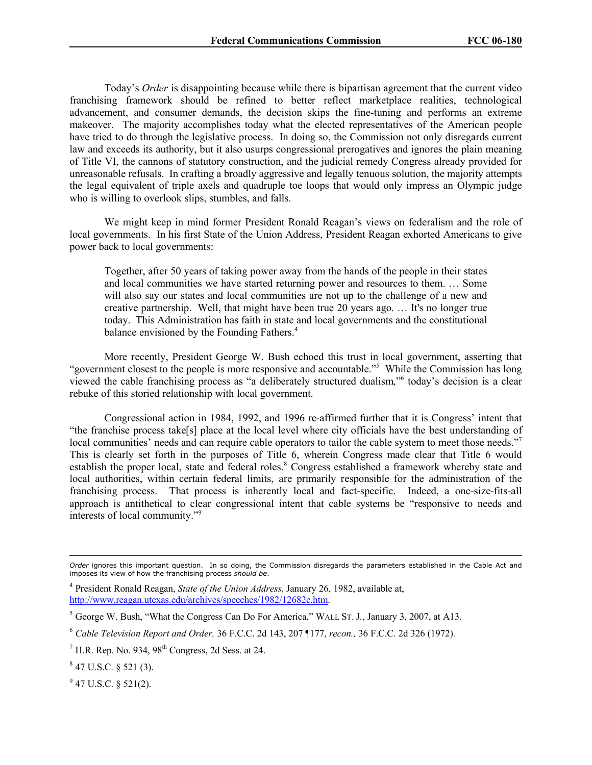Today's *Order* is disappointing because while there is bipartisan agreement that the current video franchising framework should be refined to better reflect marketplace realities, technological advancement, and consumer demands, the decision skips the fine-tuning and performs an extreme makeover. The majority accomplishes today what the elected representatives of the American people have tried to do through the legislative process. In doing so, the Commission not only disregards current law and exceeds its authority, but it also usurps congressional prerogatives and ignores the plain meaning of Title VI, the cannons of statutory construction, and the judicial remedy Congress already provided for unreasonable refusals. In crafting a broadly aggressive and legally tenuous solution, the majority attempts the legal equivalent of triple axels and quadruple toe loops that would only impress an Olympic judge who is willing to overlook slips, stumbles, and falls.

We might keep in mind former President Ronald Reagan's views on federalism and the role of local governments. In his first State of the Union Address, President Reagan exhorted Americans to give power back to local governments:

Together, after 50 years of taking power away from the hands of the people in their states and local communities we have started returning power and resources to them. … Some will also say our states and local communities are not up to the challenge of a new and creative partnership. Well, that might have been true 20 years ago. … It's no longer true today. This Administration has faith in state and local governments and the constitutional balance envisioned by the Founding Fathers.<sup>4</sup>

More recently, President George W. Bush echoed this trust in local government, asserting that "government closest to the people is more responsive and accountable."<sup>5</sup> While the Commission has long viewed the cable franchising process as "a deliberately structured dualism," 6 today's decision is a clear rebuke of this storied relationship with local government.

Congressional action in 1984, 1992, and 1996 re-affirmed further that it is Congress' intent that "the franchise process take[s] place at the local level where city officials have the best understanding of local communities' needs and can require cable operators to tailor the cable system to meet those needs."<sup>7</sup> This is clearly set forth in the purposes of Title 6, wherein Congress made clear that Title 6 would establish the proper local, state and federal roles.<sup>8</sup> Congress established a framework whereby state and local authorities, within certain federal limits, are primarily responsible for the administration of the franchising process. That process is inherently local and fact-specific. Indeed, a one-size-fits-all approach is antithetical to clear congressional intent that cable systems be "responsive to needs and interests of local community."<sup>9</sup>

 $9$  47 U.S.C. § 521(2).

*Order* ignores this important question. In so doing, the Commission disregards the parameters established in the Cable Act and imposes its view of how the franchising process *should be*.

<sup>4</sup> President Ronald Reagan, *State of the Union Address*, January 26, 1982, available at, http://www.reagan.utexas.edu/archives/speeches/1982/12682c.htm.

<sup>5</sup> George W. Bush, "What the Congress Can Do For America," WALL ST. J., January 3, 2007, at A13.

<sup>6</sup> *Cable Television Report and Order,* 36 F.C.C. 2d 143, 207 ¶177, *recon.,* 36 F.C.C. 2d 326 (1972).

 $<sup>7</sup>$  H.R. Rep. No. 934, 98<sup>th</sup> Congress, 2d Sess. at 24.</sup>

 $8$  47 U.S.C. § 521 (3).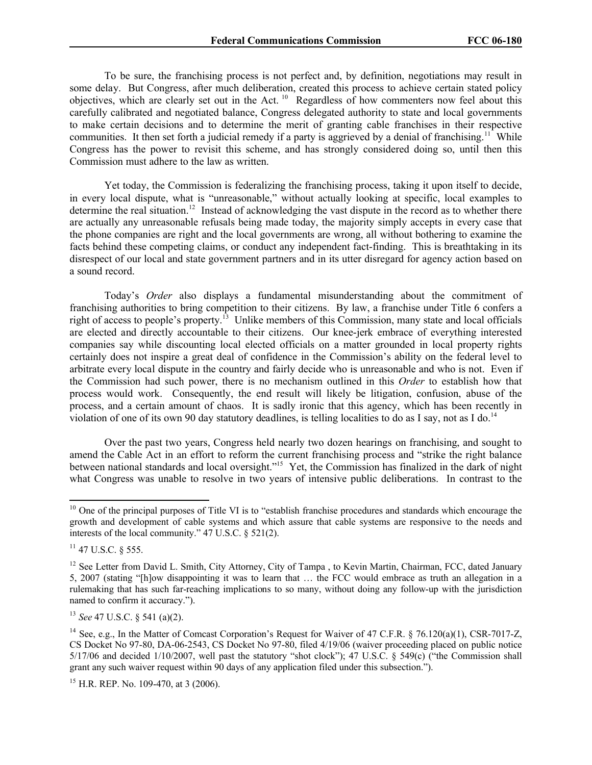To be sure, the franchising process is not perfect and, by definition, negotiations may result in some delay. But Congress, after much deliberation, created this process to achieve certain stated policy objectives, which are clearly set out in the Act. <sup>10</sup> Regardless of how commenters now feel about this carefully calibrated and negotiated balance, Congress delegated authority to state and local governments to make certain decisions and to determine the merit of granting cable franchises in their respective communities. It then set forth a judicial remedy if a party is aggrieved by a denial of franchising.<sup>11</sup> While Congress has the power to revisit this scheme, and has strongly considered doing so, until then this Commission must adhere to the law as written.

Yet today, the Commission is federalizing the franchising process, taking it upon itself to decide, in every local dispute, what is "unreasonable," without actually looking at specific, local examples to determine the real situation.<sup>12</sup> Instead of acknowledging the vast dispute in the record as to whether there are actually any unreasonable refusals being made today, the majority simply accepts in every case that the phone companies are right and the local governments are wrong, all without bothering to examine the facts behind these competing claims, or conduct any independent fact-finding. This is breathtaking in its disrespect of our local and state government partners and in its utter disregard for agency action based on a sound record.

Today's *Order* also displays a fundamental misunderstanding about the commitment of franchising authorities to bring competition to their citizens. By law, a franchise under Title 6 confers a right of access to people's property.<sup>13</sup> Unlike members of this Commission, many state and local officials are elected and directly accountable to their citizens. Our knee-jerk embrace of everything interested companies say while discounting local elected officials on a matter grounded in local property rights certainly does not inspire a great deal of confidence in the Commission's ability on the federal level to arbitrate every local dispute in the country and fairly decide who is unreasonable and who is not. Even if the Commission had such power, there is no mechanism outlined in this *Order* to establish how that process would work. Consequently, the end result will likely be litigation, confusion, abuse of the process, and a certain amount of chaos. It is sadly ironic that this agency, which has been recently in violation of one of its own 90 day statutory deadlines, is telling localities to do as I say, not as I do.<sup>14</sup>

Over the past two years, Congress held nearly two dozen hearings on franchising, and sought to amend the Cable Act in an effort to reform the current franchising process and "strike the right balance between national standards and local oversight."<sup>15</sup> Yet, the Commission has finalized in the dark of night what Congress was unable to resolve in two years of intensive public deliberations. In contrast to the

 $10$  One of the principal purposes of Title VI is to "establish franchise procedures and standards which encourage the growth and development of cable systems and which assure that cable systems are responsive to the needs and interests of the local community." 47 U.S.C. § 521(2).

<sup>&</sup>lt;sup>11</sup> 47 U.S.C. § 555.

<sup>&</sup>lt;sup>12</sup> See Letter from David L. Smith, City Attorney, City of Tampa, to Kevin Martin, Chairman, FCC, dated January 5, 2007 (stating "[h]ow disappointing it was to learn that … the FCC would embrace as truth an allegation in a rulemaking that has such far-reaching implications to so many, without doing any follow-up with the jurisdiction named to confirm it accuracy.").

<sup>13</sup> *See* 47 U.S.C. § 541 (a)(2).

<sup>&</sup>lt;sup>14</sup> See, e.g., In the Matter of Comcast Corporation's Request for Waiver of 47 C.F.R. § 76.120(a)(1), CSR-7017-Z, CS Docket No 97-80, DA-06-2543, CS Docket No 97-80, filed 4/19/06 (waiver proceeding placed on public notice  $5/17/06$  and decided  $1/10/2007$ , well past the statutory "shot clock"); 47 U.S.C. § 549(c) ("the Commission shall grant any such waiver request within 90 days of any application filed under this subsection.").

<sup>&</sup>lt;sup>15</sup> H.R. REP. No. 109-470, at 3 (2006).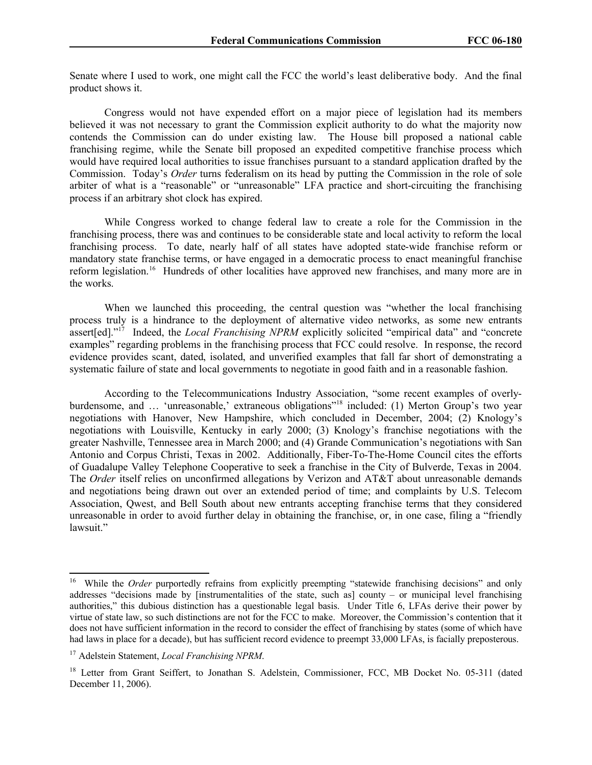Senate where I used to work, one might call the FCC the world's least deliberative body. And the final product shows it.

Congress would not have expended effort on a major piece of legislation had its members believed it was not necessary to grant the Commission explicit authority to do what the majority now contends the Commission can do under existing law. The House bill proposed a national cable franchising regime, while the Senate bill proposed an expedited competitive franchise process which would have required local authorities to issue franchises pursuant to a standard application drafted by the Commission. Today's *Order* turns federalism on its head by putting the Commission in the role of sole arbiter of what is a "reasonable" or "unreasonable" LFA practice and short-circuiting the franchising process if an arbitrary shot clock has expired.

While Congress worked to change federal law to create a role for the Commission in the franchising process, there was and continues to be considerable state and local activity to reform the local franchising process. To date, nearly half of all states have adopted state-wide franchise reform or mandatory state franchise terms, or have engaged in a democratic process to enact meaningful franchise reform legislation.<sup>16</sup> Hundreds of other localities have approved new franchises, and many more are in the works.

When we launched this proceeding, the central question was "whether the local franchising process truly is a hindrance to the deployment of alternative video networks, as some new entrants assert[ed]."<sup>17</sup> Indeed, the *Local Franchising NPRM* explicitly solicited "empirical data" and "concrete examples" regarding problems in the franchising process that FCC could resolve. In response, the record evidence provides scant, dated, isolated, and unverified examples that fall far short of demonstrating a systematic failure of state and local governments to negotiate in good faith and in a reasonable fashion.

According to the Telecommunications Industry Association, "some recent examples of overlyburdensome, and ... 'unreasonable,' extraneous obligations<sup>"18</sup> included: (1) Merton Group's two year negotiations with Hanover, New Hampshire, which concluded in December, 2004; (2) Knology's negotiations with Louisville, Kentucky in early 2000; (3) Knology's franchise negotiations with the greater Nashville, Tennessee area in March 2000; and (4) Grande Communication's negotiations with San Antonio and Corpus Christi, Texas in 2002. Additionally, Fiber-To-The-Home Council cites the efforts of Guadalupe Valley Telephone Cooperative to seek a franchise in the City of Bulverde, Texas in 2004. The *Order* itself relies on unconfirmed allegations by Verizon and AT&T about unreasonable demands and negotiations being drawn out over an extended period of time; and complaints by U.S. Telecom Association, Qwest, and Bell South about new entrants accepting franchise terms that they considered unreasonable in order to avoid further delay in obtaining the franchise, or, in one case, filing a "friendly lawsuit."

<sup>&</sup>lt;sup>16</sup> While the *Order* purportedly refrains from explicitly preempting "statewide franchising decisions" and only addresses "decisions made by [instrumentalities of the state, such as] county – or municipal level franchising authorities," this dubious distinction has a questionable legal basis. Under Title 6, LFAs derive their power by virtue of state law, so such distinctions are not for the FCC to make. Moreover, the Commission's contention that it does not have sufficient information in the record to consider the effect of franchising by states (some of which have had laws in place for a decade), but has sufficient record evidence to preempt 33,000 LFAs, is facially preposterous.

<sup>17</sup> Adelstein Statement, *Local Franchising NPRM*.

<sup>&</sup>lt;sup>18</sup> Letter from Grant Seiffert, to Jonathan S. Adelstein, Commissioner, FCC, MB Docket No. 05-311 (dated December 11, 2006).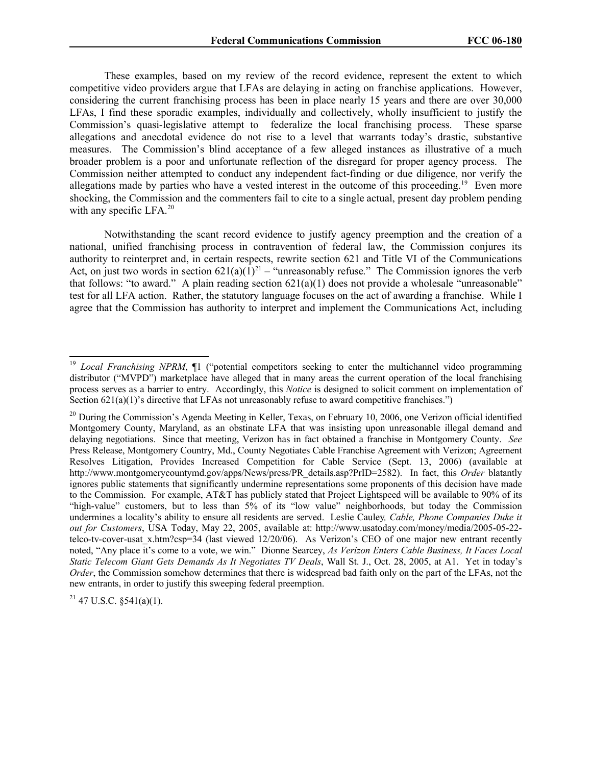These examples, based on my review of the record evidence, represent the extent to which competitive video providers argue that LFAs are delaying in acting on franchise applications. However, considering the current franchising process has been in place nearly 15 years and there are over 30,000 LFAs, I find these sporadic examples, individually and collectively, wholly insufficient to justify the Commission's quasi-legislative attempt to federalize the local franchising process. These sparse allegations and anecdotal evidence do not rise to a level that warrants today's drastic, substantive measures. The Commission's blind acceptance of a few alleged instances as illustrative of a much broader problem is a poor and unfortunate reflection of the disregard for proper agency process. The Commission neither attempted to conduct any independent fact-finding or due diligence, nor verify the allegations made by parties who have a vested interest in the outcome of this proceeding.<sup>19</sup> Even more shocking, the Commission and the commenters fail to cite to a single actual, present day problem pending with any specific LFA. $^{20}$ 

Notwithstanding the scant record evidence to justify agency preemption and the creation of a national, unified franchising process in contravention of federal law, the Commission conjures its authority to reinterpret and, in certain respects, rewrite section 621 and Title VI of the Communications Act, on just two words in section  $621(a)(1)^{21}$  – "unreasonably refuse." The Commission ignores the verb that follows: "to award." A plain reading section  $621(a)(1)$  does not provide a wholesale "unreasonable" test for all LFA action. Rather, the statutory language focuses on the act of awarding a franchise. While I agree that the Commission has authority to interpret and implement the Communications Act, including

 $21$  47 U.S.C. §541(a)(1).

<sup>&</sup>lt;sup>19</sup> *Local Franchising NPRM*, <sup>[1]</sup> ("potential competitors seeking to enter the multichannel video programming distributor ("MVPD") marketplace have alleged that in many areas the current operation of the local franchising process serves as a barrier to entry. Accordingly, this *Notice* is designed to solicit comment on implementation of Section  $621(a)(1)$ 's directive that LFAs not unreasonably refuse to award competitive franchises.")

 $^{20}$  During the Commission's Agenda Meeting in Keller, Texas, on February 10, 2006, one Verizon official identified Montgomery County, Maryland, as an obstinate LFA that was insisting upon unreasonable illegal demand and delaying negotiations. Since that meeting, Verizon has in fact obtained a franchise in Montgomery County. *See*  Press Release, Montgomery Country, Md., County Negotiates Cable Franchise Agreement with Verizon; Agreement Resolves Litigation, Provides Increased Competition for Cable Service (Sept. 13, 2006) (available at http://www.montgomerycountymd.gov/apps/News/press/PR\_details.asp?PrID=2582). In fact, this *Order* blatantly ignores public statements that significantly undermine representations some proponents of this decision have made to the Commission. For example, AT&T has publicly stated that Project Lightspeed will be available to 90% of its "high-value" customers, but to less than 5% of its "low value" neighborhoods, but today the Commission undermines a locality's ability to ensure all residents are served. Leslie Cauley*, Cable, Phone Companies Duke it out for Customers*, USA Today, May 22, 2005, available at: http://www.usatoday.com/money/media/2005-05-22 telco-tv-cover-usat x.htm?csp=34 (last viewed 12/20/06). As Verizon's CEO of one major new entrant recently noted, "Any place it's come to a vote, we win." Dionne Searcey, *As Verizon Enters Cable Business, It Faces Local Static Telecom Giant Gets Demands As It Negotiates TV Deals*, Wall St. J., Oct. 28, 2005, at A1. Yet in today's *Order*, the Commission somehow determines that there is widespread bad faith only on the part of the LFAs, not the new entrants, in order to justify this sweeping federal preemption.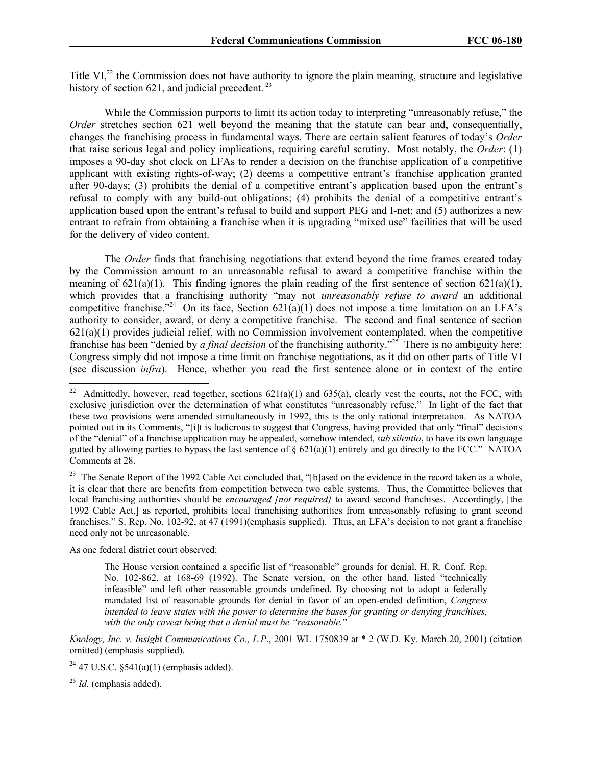Title VI,<sup>22</sup> the Commission does not have authority to ignore the plain meaning, structure and legislative history of section  $621$ , and judicial precedent.<sup>23</sup>

While the Commission purports to limit its action today to interpreting "unreasonably refuse," the *Order* stretches section 621 well beyond the meaning that the statute can bear and, consequentially, changes the franchising process in fundamental ways. There are certain salient features of today's *Order* that raise serious legal and policy implications, requiring careful scrutiny. Most notably, the *Order*: (1) imposes a 90-day shot clock on LFAs to render a decision on the franchise application of a competitive applicant with existing rights-of-way; (2) deems a competitive entrant's franchise application granted after 90-days; (3) prohibits the denial of a competitive entrant's application based upon the entrant's refusal to comply with any build-out obligations; (4) prohibits the denial of a competitive entrant's application based upon the entrant's refusal to build and support PEG and I-net; and (5) authorizes a new entrant to refrain from obtaining a franchise when it is upgrading "mixed use" facilities that will be used for the delivery of video content.

The *Order* finds that franchising negotiations that extend beyond the time frames created today by the Commission amount to an unreasonable refusal to award a competitive franchise within the meaning of  $621(a)(1)$ . This finding ignores the plain reading of the first sentence of section  $621(a)(1)$ , which provides that a franchising authority "may not *unreasonably refuse to award* an additional competitive franchise."<sup>24</sup> On its face, Section  $621(a)(1)$  does not impose a time limitation on an LFA's authority to consider, award, or deny a competitive franchise. The second and final sentence of section 621(a)(1) provides judicial relief, with no Commission involvement contemplated, when the competitive franchise has been "denied by *a final decision* of the franchising authority."<sup>25</sup> There is no ambiguity here: Congress simply did not impose a time limit on franchise negotiations, as it did on other parts of Title VI (see discussion *infra*). Hence, whether you read the first sentence alone or in context of the entire

<sup>23</sup> The Senate Report of the 1992 Cable Act concluded that, "[b]ased on the evidence in the record taken as a whole, it is clear that there are benefits from competition between two cable systems. Thus, the Committee believes that local franchising authorities should be *encouraged [not required]* to award second franchises. Accordingly, [the 1992 Cable Act,] as reported, prohibits local franchising authorities from unreasonably refusing to grant second franchises." S. Rep. No. 102-92, at 47 (1991)(emphasis supplied). Thus, an LFA's decision to not grant a franchise need only not be unreasonable.

As one federal district court observed:

The House version contained a specific list of "reasonable" grounds for denial. H. R. Conf. Rep. No. 102-862, at 168-69 (1992). The Senate version, on the other hand, listed "technically infeasible" and left other reasonable grounds undefined. By choosing not to adopt a federally mandated list of reasonable grounds for denial in favor of an open-ended definition, *Congress intended to leave states with the power to determine the bases for granting or denying franchises, with the only caveat being that a denial must be "reasonable.*"

*Knology, Inc. v. Insight Communications Co., L.P*., 2001 WL 1750839 at \* 2 (W.D. Ky. March 20, 2001) (citation omitted) (emphasis supplied).

<sup>&</sup>lt;sup>22</sup> Admittedly, however, read together, sections  $621(a)(1)$  and  $635(a)$ , clearly vest the courts, not the FCC, with exclusive jurisdiction over the determination of what constitutes "unreasonably refuse." In light of the fact that these two provisions were amended simultaneously in 1992, this is the only rational interpretation. As NATOA pointed out in its Comments, "[i]t is ludicrous to suggest that Congress, having provided that only "final" decisions of the "denial" of a franchise application may be appealed, somehow intended, *sub silentio*, to have its own language gutted by allowing parties to bypass the last sentence of  $\S 621(a)(1)$  entirely and go directly to the FCC." NATOA Comments at 28.

<sup>&</sup>lt;sup>24</sup> 47 U.S.C.  $$541(a)(1)$  (emphasis added).

<sup>25</sup> *Id.* (emphasis added).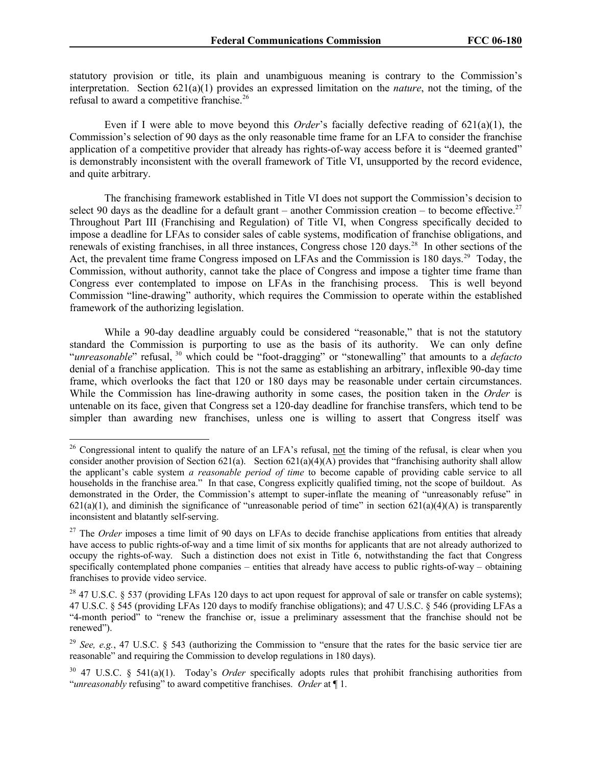statutory provision or title, its plain and unambiguous meaning is contrary to the Commission's interpretation. Section 621(a)(1) provides an expressed limitation on the *nature*, not the timing, of the refusal to award a competitive franchise.<sup>26</sup>

Even if I were able to move beyond this *Order*'s facially defective reading of 621(a)(1), the Commission's selection of 90 days as the only reasonable time frame for an LFA to consider the franchise application of a competitive provider that already has rights-of-way access before it is "deemed granted" is demonstrably inconsistent with the overall framework of Title VI, unsupported by the record evidence, and quite arbitrary.

The franchising framework established in Title VI does not support the Commission's decision to select 90 days as the deadline for a default grant – another Commission creation – to become effective.<sup>27</sup> Throughout Part III (Franchising and Regulation) of Title VI, when Congress specifically decided to impose a deadline for LFAs to consider sales of cable systems, modification of franchise obligations, and renewals of existing franchises, in all three instances, Congress chose 120 days.<sup>28</sup> In other sections of the Act, the prevalent time frame Congress imposed on LFAs and the Commission is 180 days.<sup>29</sup> Today, the Commission, without authority, cannot take the place of Congress and impose a tighter time frame than Congress ever contemplated to impose on LFAs in the franchising process. This is well beyond Commission "line-drawing" authority, which requires the Commission to operate within the established framework of the authorizing legislation.

While a 90-day deadline arguably could be considered "reasonable," that is not the statutory standard the Commission is purporting to use as the basis of its authority. We can only define "*unreasonable*" refusal, <sup>30</sup> which could be "foot-dragging" or "stonewalling" that amounts to a *defacto* denial of a franchise application. This is not the same as establishing an arbitrary, inflexible 90-day time frame, which overlooks the fact that 120 or 180 days may be reasonable under certain circumstances. While the Commission has line-drawing authority in some cases, the position taken in the *Order* is untenable on its face, given that Congress set a 120-day deadline for franchise transfers, which tend to be simpler than awarding new franchises, unless one is willing to assert that Congress itself was

<sup>&</sup>lt;sup>26</sup> Congressional intent to qualify the nature of an LFA's refusal, not the timing of the refusal, is clear when you consider another provision of Section 621(a). Section 621(a)(4)(A) provides that "franchising authority shall allow the applicant's cable system *a reasonable period of time* to become capable of providing cable service to all households in the franchise area." In that case, Congress explicitly qualified timing, not the scope of buildout. As demonstrated in the Order, the Commission's attempt to super-inflate the meaning of "unreasonably refuse" in  $621(a)(1)$ , and diminish the significance of "unreasonable period of time" in section  $621(a)(4)(A)$  is transparently inconsistent and blatantly self-serving.

<sup>&</sup>lt;sup>27</sup> The *Order* imposes a time limit of 90 days on LFAs to decide franchise applications from entities that already have access to public rights-of-way and a time limit of six months for applicants that are not already authorized to occupy the rights-of-way. Such a distinction does not exist in Title 6, notwithstanding the fact that Congress specifically contemplated phone companies – entities that already have access to public rights-of-way – obtaining franchises to provide video service.

<sup>&</sup>lt;sup>28</sup> 47 U.S.C. § 537 (providing LFAs 120 days to act upon request for approval of sale or transfer on cable systems); 47 U.S.C. § 545 (providing LFAs 120 days to modify franchise obligations); and 47 U.S.C. § 546 (providing LFAs a "4-month period" to "renew the franchise or, issue a preliminary assessment that the franchise should not be renewed").

<sup>29</sup> *See, e.g.*, 47 U.S.C. § 543 (authorizing the Commission to "ensure that the rates for the basic service tier are reasonable" and requiring the Commission to develop regulations in 180 days).

<sup>30</sup> 47 U.S.C. § 541(a)(1). Today's *Order* specifically adopts rules that prohibit franchising authorities from "*unreasonably* refusing" to award competitive franchises. *Order* at ¶ 1.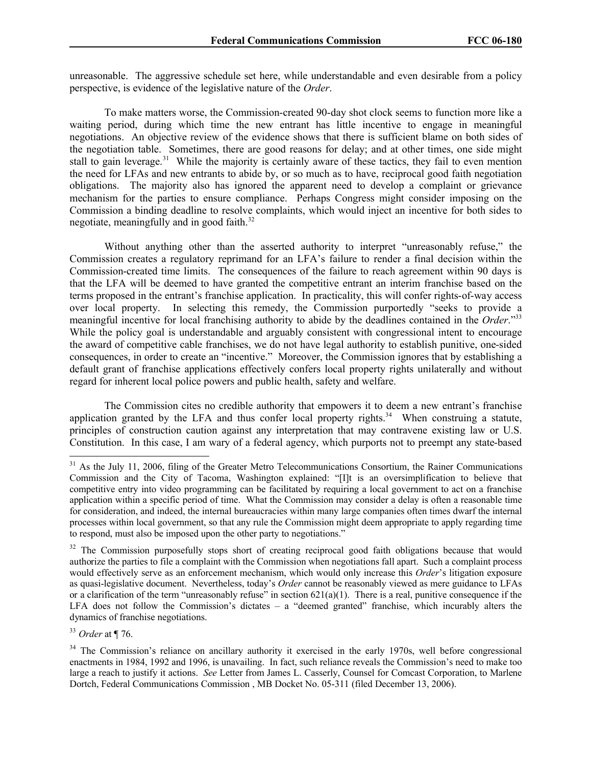unreasonable. The aggressive schedule set here, while understandable and even desirable from a policy perspective, is evidence of the legislative nature of the *Order*.

To make matters worse, the Commission-created 90-day shot clock seems to function more like a waiting period, during which time the new entrant has little incentive to engage in meaningful negotiations. An objective review of the evidence shows that there is sufficient blame on both sides of the negotiation table. Sometimes, there are good reasons for delay; and at other times, one side might stall to gain leverage.<sup>31</sup> While the majority is certainly aware of these tactics, they fail to even mention the need for LFAs and new entrants to abide by, or so much as to have, reciprocal good faith negotiation obligations. The majority also has ignored the apparent need to develop a complaint or grievance mechanism for the parties to ensure compliance. Perhaps Congress might consider imposing on the Commission a binding deadline to resolve complaints, which would inject an incentive for both sides to negotiate, meaningfully and in good faith.<sup>32</sup>

Without anything other than the asserted authority to interpret "unreasonably refuse," the Commission creates a regulatory reprimand for an LFA's failure to render a final decision within the Commission-created time limits. The consequences of the failure to reach agreement within 90 days is that the LFA will be deemed to have granted the competitive entrant an interim franchise based on the terms proposed in the entrant's franchise application. In practicality, this will confer rights-of-way access over local property. In selecting this remedy, the Commission purportedly "seeks to provide a meaningful incentive for local franchising authority to abide by the deadlines contained in the *Order*."<sup>33</sup> While the policy goal is understandable and arguably consistent with congressional intent to encourage the award of competitive cable franchises, we do not have legal authority to establish punitive, one-sided consequences, in order to create an "incentive." Moreover, the Commission ignores that by establishing a default grant of franchise applications effectively confers local property rights unilaterally and without regard for inherent local police powers and public health, safety and welfare.

The Commission cites no credible authority that empowers it to deem a new entrant's franchise application granted by the LFA and thus confer local property rights.<sup>34</sup> When construing a statute, principles of construction caution against any interpretation that may contravene existing law or U.S. Constitution. In this case, I am wary of a federal agency, which purports not to preempt any state-based

<sup>33</sup> *Order* at ¶ 76.

<sup>&</sup>lt;sup>31</sup> As the July 11, 2006, filing of the Greater Metro Telecommunications Consortium, the Rainer Communications Commission and the City of Tacoma, Washington explained: "[I]t is an oversimplification to believe that competitive entry into video programming can be facilitated by requiring a local government to act on a franchise application within a specific period of time. What the Commission may consider a delay is often a reasonable time for consideration, and indeed, the internal bureaucracies within many large companies often times dwarf the internal processes within local government, so that any rule the Commission might deem appropriate to apply regarding time to respond, must also be imposed upon the other party to negotiations."

<sup>&</sup>lt;sup>32</sup> The Commission purposefully stops short of creating reciprocal good faith obligations because that would authorize the parties to file a complaint with the Commission when negotiations fall apart. Such a complaint process would effectively serve as an enforcement mechanism, which would only increase this *Order*'s litigation exposure as quasi-legislative document. Nevertheless, today's *Order* cannot be reasonably viewed as mere guidance to LFAs or a clarification of the term "unreasonably refuse" in section  $621(a)(1)$ . There is a real, punitive consequence if the LFA does not follow the Commission's dictates – a "deemed granted" franchise, which incurably alters the dynamics of franchise negotiations.

<sup>&</sup>lt;sup>34</sup> The Commission's reliance on ancillary authority it exercised in the early 1970s, well before congressional enactments in 1984, 1992 and 1996, is unavailing. In fact, such reliance reveals the Commission's need to make too large a reach to justify it actions. *See* Letter from James L. Casserly, Counsel for Comcast Corporation, to Marlene Dortch, Federal Communications Commission , MB Docket No. 05-311 (filed December 13, 2006).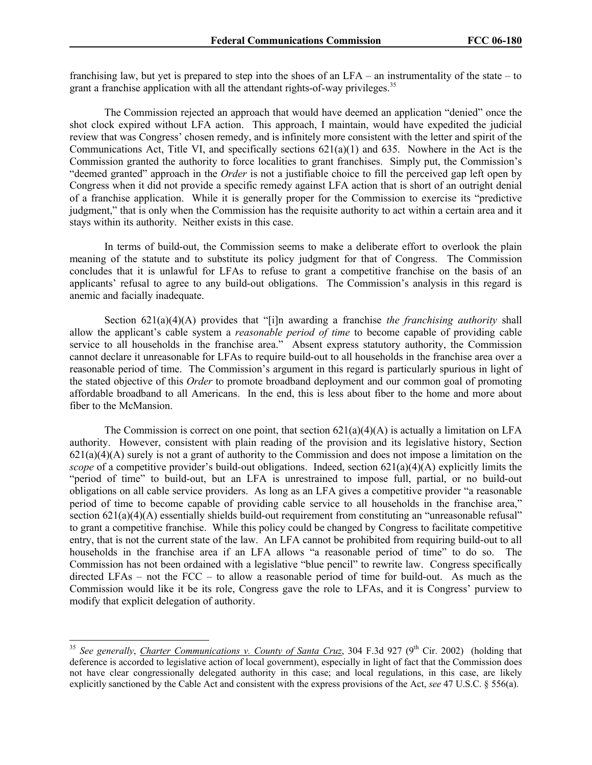franchising law, but yet is prepared to step into the shoes of an LFA – an instrumentality of the state – to grant a franchise application with all the attendant rights-of-way privileges.<sup>35</sup>

The Commission rejected an approach that would have deemed an application "denied" once the shot clock expired without LFA action. This approach, I maintain, would have expedited the judicial review that was Congress' chosen remedy, and is infinitely more consistent with the letter and spirit of the Communications Act, Title VI, and specifically sections 621(a)(1) and 635. Nowhere in the Act is the Commission granted the authority to force localities to grant franchises. Simply put, the Commission's "deemed granted" approach in the *Order* is not a justifiable choice to fill the perceived gap left open by Congress when it did not provide a specific remedy against LFA action that is short of an outright denial of a franchise application. While it is generally proper for the Commission to exercise its "predictive judgment," that is only when the Commission has the requisite authority to act within a certain area and it stays within its authority. Neither exists in this case.

In terms of build-out, the Commission seems to make a deliberate effort to overlook the plain meaning of the statute and to substitute its policy judgment for that of Congress. The Commission concludes that it is unlawful for LFAs to refuse to grant a competitive franchise on the basis of an applicants' refusal to agree to any build-out obligations. The Commission's analysis in this regard is anemic and facially inadequate.

Section 621(a)(4)(A) provides that "[i]n awarding a franchise *the franchising authority* shall allow the applicant's cable system a *reasonable period of time* to become capable of providing cable service to all households in the franchise area." Absent express statutory authority, the Commission cannot declare it unreasonable for LFAs to require build-out to all households in the franchise area over a reasonable period of time. The Commission's argument in this regard is particularly spurious in light of the stated objective of this *Order* to promote broadband deployment and our common goal of promoting affordable broadband to all Americans. In the end, this is less about fiber to the home and more about fiber to the McMansion.

The Commission is correct on one point, that section  $621(a)(4)(A)$  is actually a limitation on LFA authority. However, consistent with plain reading of the provision and its legislative history, Section  $621(a)(4)(A)$  surely is not a grant of authority to the Commission and does not impose a limitation on the *scope* of a competitive provider's build-out obligations. Indeed, section 621(a)(4)(A) explicitly limits the "period of time" to build-out, but an LFA is unrestrained to impose full, partial, or no build-out obligations on all cable service providers. As long as an LFA gives a competitive provider "a reasonable period of time to become capable of providing cable service to all households in the franchise area," section  $621(a)(4)(A)$  essentially shields build-out requirement from constituting an "unreasonable refusal" to grant a competitive franchise. While this policy could be changed by Congress to facilitate competitive entry, that is not the current state of the law. An LFA cannot be prohibited from requiring build-out to all households in the franchise area if an LFA allows "a reasonable period of time" to do so. The Commission has not been ordained with a legislative "blue pencil" to rewrite law. Congress specifically directed LFAs – not the FCC – to allow a reasonable period of time for build-out. As much as the Commission would like it be its role, Congress gave the role to LFAs, and it is Congress' purview to modify that explicit delegation of authority.

<sup>&</sup>lt;sup>35</sup> See generally, *Charter Communications v. County of Santa Cruz*, 304 F.3d 927 (9<sup>th</sup> Cir. 2002) (holding that deference is accorded to legislative action of local government), especially in light of fact that the Commission does not have clear congressionally delegated authority in this case; and local regulations, in this case, are likely explicitly sanctioned by the Cable Act and consistent with the express provisions of the Act, *see* 47 U.S.C. § 556(a).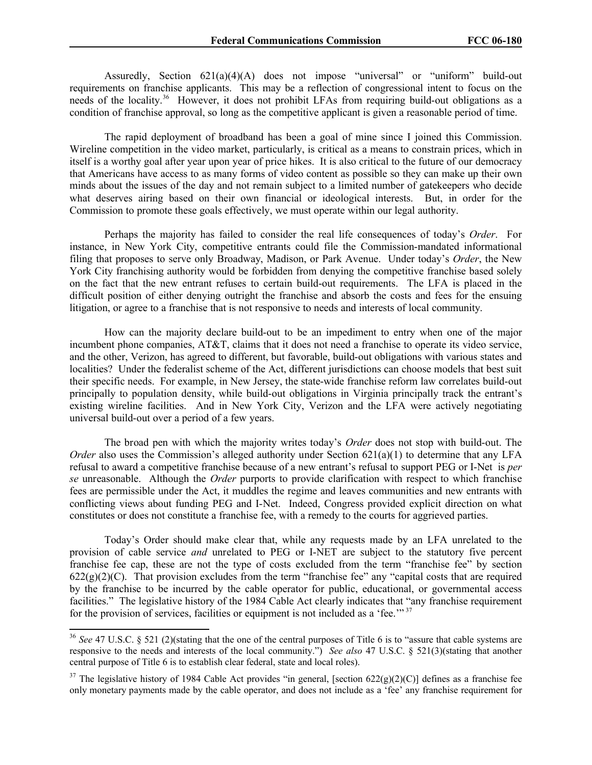Assuredly, Section 621(a)(4)(A) does not impose "universal" or "uniform" build-out requirements on franchise applicants. This may be a reflection of congressional intent to focus on the needs of the locality.<sup>36</sup> However, it does not prohibit LFAs from requiring build-out obligations as a condition of franchise approval, so long as the competitive applicant is given a reasonable period of time.

The rapid deployment of broadband has been a goal of mine since I joined this Commission. Wireline competition in the video market, particularly, is critical as a means to constrain prices, which in itself is a worthy goal after year upon year of price hikes. It is also critical to the future of our democracy that Americans have access to as many forms of video content as possible so they can make up their own minds about the issues of the day and not remain subject to a limited number of gatekeepers who decide what deserves airing based on their own financial or ideological interests. But, in order for the Commission to promote these goals effectively, we must operate within our legal authority.

Perhaps the majority has failed to consider the real life consequences of today's *Order*. For instance, in New York City, competitive entrants could file the Commission-mandated informational filing that proposes to serve only Broadway, Madison, or Park Avenue. Under today's *Order*, the New York City franchising authority would be forbidden from denying the competitive franchise based solely on the fact that the new entrant refuses to certain build-out requirements. The LFA is placed in the difficult position of either denying outright the franchise and absorb the costs and fees for the ensuing litigation, or agree to a franchise that is not responsive to needs and interests of local community.

How can the majority declare build-out to be an impediment to entry when one of the major incumbent phone companies, AT&T, claims that it does not need a franchise to operate its video service, and the other, Verizon, has agreed to different, but favorable, build-out obligations with various states and localities? Under the federalist scheme of the Act, different jurisdictions can choose models that best suit their specific needs. For example, in New Jersey, the state-wide franchise reform law correlates build-out principally to population density, while build-out obligations in Virginia principally track the entrant's existing wireline facilities. And in New York City, Verizon and the LFA were actively negotiating universal build-out over a period of a few years.

The broad pen with which the majority writes today's *Order* does not stop with build-out. The *Order* also uses the Commission's alleged authority under Section 621(a)(1) to determine that any LFA refusal to award a competitive franchise because of a new entrant's refusal to support PEG or I-Net is *per se* unreasonable. Although the *Order* purports to provide clarification with respect to which franchise fees are permissible under the Act, it muddles the regime and leaves communities and new entrants with conflicting views about funding PEG and I-Net. Indeed, Congress provided explicit direction on what constitutes or does not constitute a franchise fee, with a remedy to the courts for aggrieved parties.

Today's Order should make clear that, while any requests made by an LFA unrelated to the provision of cable service *and* unrelated to PEG or I-NET are subject to the statutory five percent franchise fee cap, these are not the type of costs excluded from the term "franchise fee" by section  $622(g)(2)(C)$ . That provision excludes from the term "franchise fee" any "capital costs that are required by the franchise to be incurred by the cable operator for public, educational, or governmental access facilities." The legislative history of the 1984 Cable Act clearly indicates that "any franchise requirement for the provision of services, facilities or equipment is not included as a 'fee.'" <sup>37</sup>

<sup>&</sup>lt;sup>36</sup> See 47 U.S.C. § 521 (2)(stating that the one of the central purposes of Title 6 is to "assure that cable systems are responsive to the needs and interests of the local community.") *See also* 47 U.S.C. § 521(3)(stating that another central purpose of Title 6 is to establish clear federal, state and local roles).

<sup>&</sup>lt;sup>37</sup> The legislative history of 1984 Cable Act provides "in general, [section 622(g)(2)(C)] defines as a franchise fee only monetary payments made by the cable operator, and does not include as a 'fee' any franchise requirement for